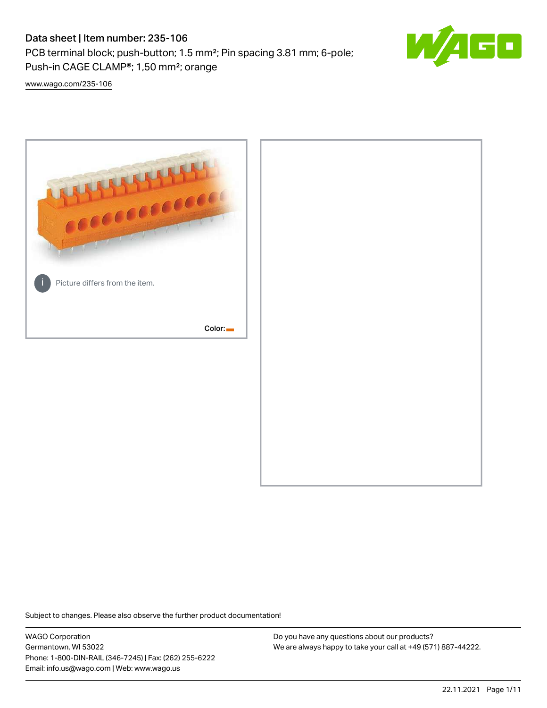# Data sheet | Item number: 235-106

PCB terminal block; push-button; 1.5 mm²; Pin spacing 3.81 mm; 6-pole; Push-in CAGE CLAMP®; 1,50 mm²; orange



[www.wago.com/235-106](http://www.wago.com/235-106)



Subject to changes. Please also observe the further product documentation!

WAGO Corporation Germantown, WI 53022 Phone: 1-800-DIN-RAIL (346-7245) | Fax: (262) 255-6222 Email: info.us@wago.com | Web: www.wago.us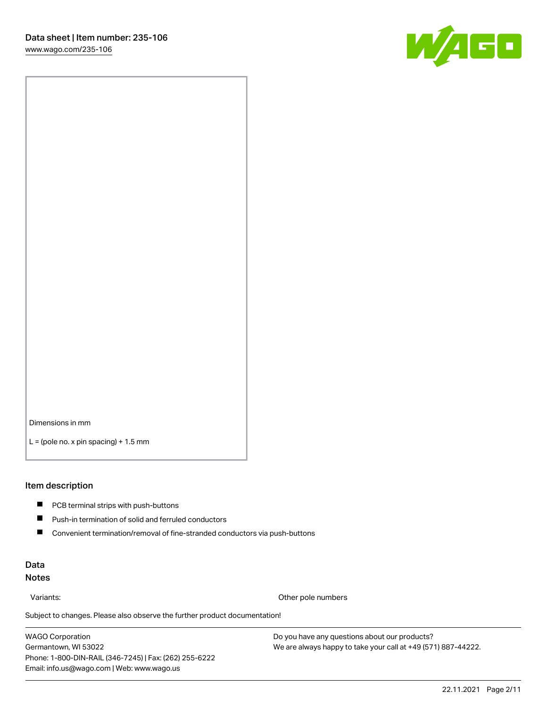

Dimensions in mm

 $L =$  (pole no. x pin spacing) + 1.5 mm

#### Item description

- **PCB terminal strips with push-buttons**
- $\blacksquare$ Push-in termination of solid and ferruled conductors
- $\blacksquare$ Convenient termination/removal of fine-stranded conductors via push-buttons

## Data Notes

Variants: Other pole numbers

Subject to changes. Please also observe the further product documentation! Other colors

WAGO Corporation Germantown, WI 53022 Phone: 1-800-DIN-RAIL (346-7245) | Fax: (262) 255-6222 Email: info.us@wago.com | Web: www.wago.us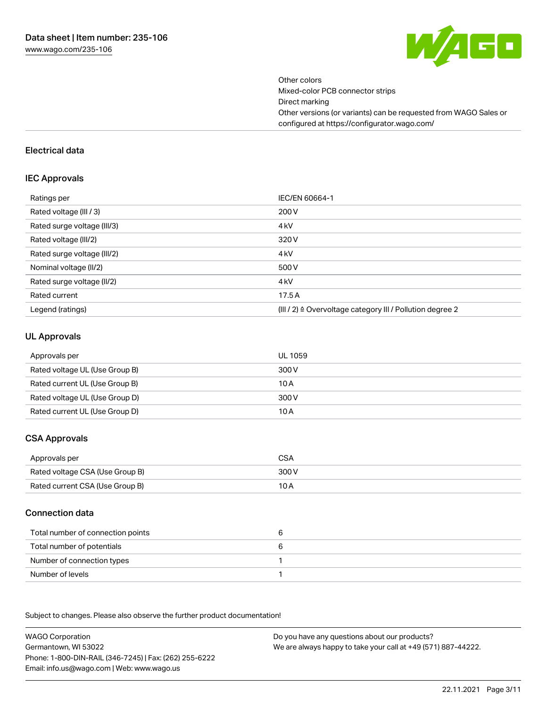

Other colors Mixed-color PCB connector strips Direct marking Other versions (or variants) can be requested from WAGO Sales or configured at https://configurator.wago.com/

#### Electrical data

#### IEC Approvals

| Ratings per                 | IEC/EN 60664-1                                                        |
|-----------------------------|-----------------------------------------------------------------------|
| Rated voltage (III / 3)     | 200 V                                                                 |
| Rated surge voltage (III/3) | 4 <sub>k</sub> V                                                      |
| Rated voltage (III/2)       | 320 V                                                                 |
| Rated surge voltage (III/2) | 4 <sub>k</sub> V                                                      |
| Nominal voltage (II/2)      | 500 V                                                                 |
| Rated surge voltage (II/2)  | 4 <sub>k</sub> V                                                      |
| Rated current               | 17.5A                                                                 |
| Legend (ratings)            | $(III / 2)$ $\triangle$ Overvoltage category III / Pollution degree 2 |

### UL Approvals

| Approvals per                  | UL 1059 |
|--------------------------------|---------|
| Rated voltage UL (Use Group B) | 300 V   |
| Rated current UL (Use Group B) | 10 A    |
| Rated voltage UL (Use Group D) | 300 V   |
| Rated current UL (Use Group D) | 10 A    |

# CSA Approvals

| Approvals per                   | CSA   |
|---------------------------------|-------|
| Rated voltage CSA (Use Group B) | 300 V |
| Rated current CSA (Use Group B) | 10 A  |

### Connection data

| Total number of connection points |  |
|-----------------------------------|--|
| Total number of potentials        |  |
| Number of connection types        |  |
| Number of levels                  |  |

.<br>Subject to changes. Please also observe the further product documentation!

WAGO Corporation Germantown, WI 53022 Phone: 1-800-DIN-RAIL (346-7245) | Fax: (262) 255-6222 Email: info.us@wago.com | Web: www.wago.us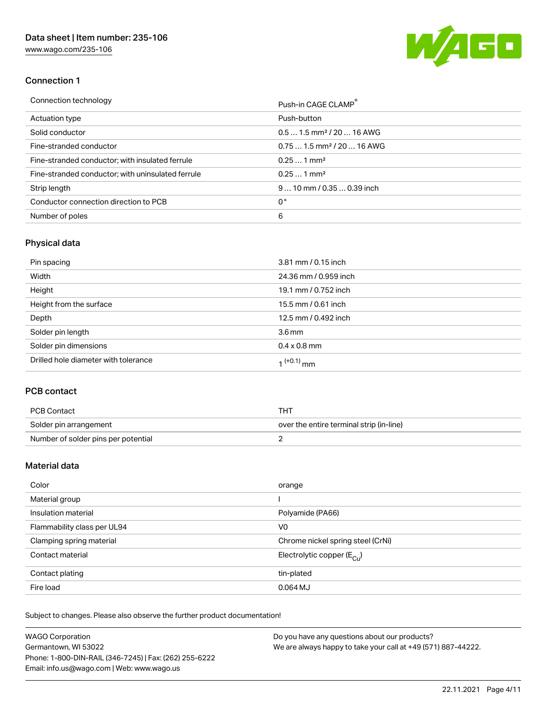[www.wago.com/235-106](http://www.wago.com/235-106)



# Connection 1

| Connection technology                             | Push-in CAGE CLAMP®                    |
|---------------------------------------------------|----------------------------------------|
| Actuation type                                    | Push-button                            |
| Solid conductor                                   | $0.51.5$ mm <sup>2</sup> / 20  16 AWG  |
| Fine-stranded conductor                           | $0.751.5$ mm <sup>2</sup> / 20  16 AWG |
| Fine-stranded conductor; with insulated ferrule   | $0.251$ mm <sup>2</sup>                |
| Fine-stranded conductor; with uninsulated ferrule | $0.251$ mm <sup>2</sup>                |
| Strip length                                      | $910$ mm $/0.350.39$ inch              |
| Conductor connection direction to PCB             | 0°                                     |
| Number of poles                                   | 6                                      |

# Physical data

| Pin spacing                          | 3.81 mm / 0.15 inch    |
|--------------------------------------|------------------------|
| Width                                | 24.36 mm / 0.959 inch  |
| Height                               | 19.1 mm / 0.752 inch   |
| Height from the surface              | 15.5 mm / 0.61 inch    |
| Depth                                | 12.5 mm / 0.492 inch   |
| Solder pin length                    | 3.6 <sub>mm</sub>      |
| Solder pin dimensions                | $0.4 \times 0.8$ mm    |
| Drilled hole diameter with tolerance | 1 <sup>(+0.1)</sup> mm |

# PCB contact

| PCB Contact                         | тнт                                      |
|-------------------------------------|------------------------------------------|
| Solder pin arrangement              | over the entire terminal strip (in-line) |
| Number of solder pins per potential |                                          |

# Material data

| Color                       | orange                                |
|-----------------------------|---------------------------------------|
| Material group              |                                       |
| Insulation material         | Polyamide (PA66)                      |
| Flammability class per UL94 | V0                                    |
| Clamping spring material    | Chrome nickel spring steel (CrNi)     |
| Contact material            | Electrolytic copper $(E_{\text{CL}})$ |
| Contact plating             | tin-plated                            |
| Fire load                   | $0.064$ MJ                            |

Subject to changes. Please also observe the further product documentation!

| <b>WAGO Corporation</b>                                | Do you have any questions about our products?                 |
|--------------------------------------------------------|---------------------------------------------------------------|
| Germantown, WI 53022                                   | We are always happy to take your call at +49 (571) 887-44222. |
| Phone: 1-800-DIN-RAIL (346-7245)   Fax: (262) 255-6222 |                                                               |
| Email: info.us@wago.com   Web: www.wago.us             |                                                               |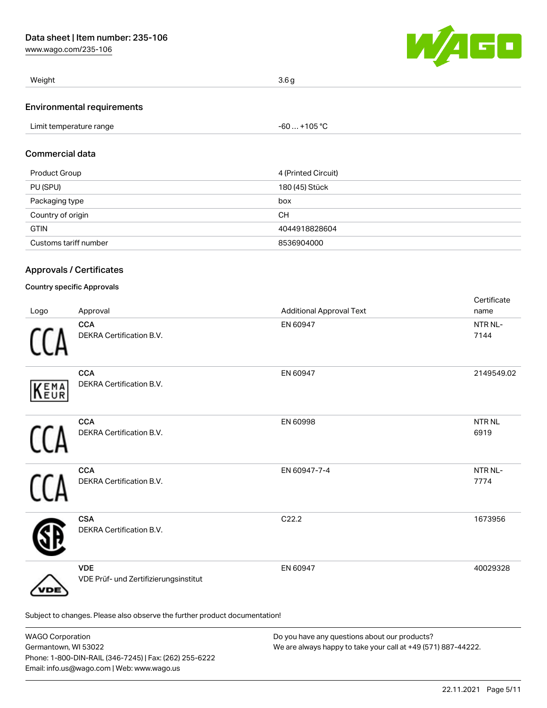[www.wago.com/235-106](http://www.wago.com/235-106)



| Weight                          | 3.6 <sub>g</sub> |
|---------------------------------|------------------|
| $\overline{\phantom{0}}$<br>. . |                  |

#### Environmental requirements

| Limit temperature range | $-60+105 °C$ |
|-------------------------|--------------|
| .                       |              |

## Commercial data

| Product Group         | 4 (Printed Circuit) |
|-----------------------|---------------------|
| PU (SPU)              | 180 (45) Stück      |
| Packaging type        | box                 |
| Country of origin     | <b>CH</b>           |
| <b>GTIN</b>           | 4044918828604       |
| Customs tariff number | 8536904000          |

## Approvals / Certificates

### Country specific Approvals

| Logo        | Approval                                                                   | <b>Additional Approval Text</b> | Certificate<br>name         |
|-------------|----------------------------------------------------------------------------|---------------------------------|-----------------------------|
|             | <b>CCA</b><br>DEKRA Certification B.V.                                     | EN 60947                        | NTR NL-<br>7144             |
| <b>KEMA</b> | <b>CCA</b><br>DEKRA Certification B.V.                                     | EN 60947                        | 2149549.02                  |
|             | <b>CCA</b><br>DEKRA Certification B.V.                                     | EN 60998                        | <b>NTRNL</b><br>6919        |
|             | <b>CCA</b><br>DEKRA Certification B.V.                                     | EN 60947-7-4                    | NTR <sub>NL</sub> -<br>7774 |
|             | <b>CSA</b><br>DEKRA Certification B.V.                                     | C22.2                           | 1673956                     |
| DE          | <b>VDE</b><br>VDE Prüf- und Zertifizierungsinstitut                        | EN 60947                        | 40029328                    |
|             | Subject to changes. Please also observe the further product documentation! |                                 |                             |

WAGO Corporation Germantown, WI 53022 Phone: 1-800-DIN-RAIL (346-7245) | Fax: (262) 255-6222 Email: info.us@wago.com | Web: www.wago.us Do you have any questions about our products? We are always happy to take your call at +49 (571) 887-44222.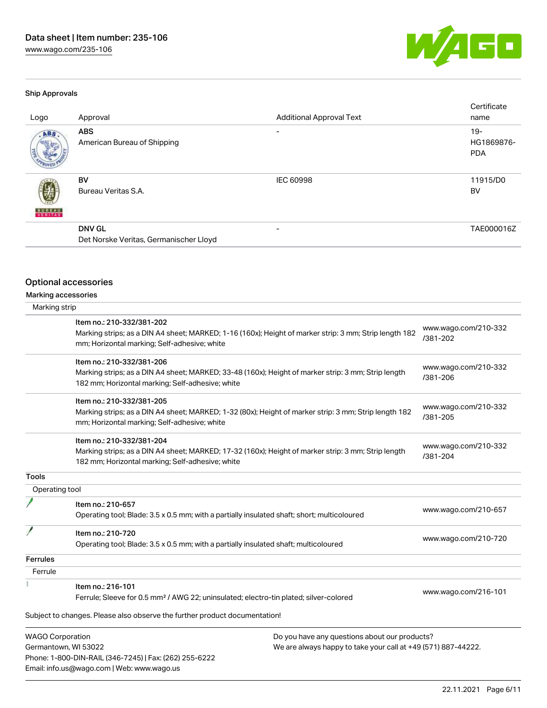50 W

#### Ship Approvals

| Logo          | Approval                                                | <b>Additional Approval Text</b> | Certificate<br>name                |
|---------------|---------------------------------------------------------|---------------------------------|------------------------------------|
| ABS           | <b>ABS</b><br>American Bureau of Shipping               | $\overline{\phantom{0}}$        | $19 -$<br>HG1869876-<br><b>PDA</b> |
| <b>BUREAU</b> | BV<br>Bureau Veritas S.A.                               | <b>IEC 60998</b>                | 11915/D0<br>BV                     |
|               | <b>DNV GL</b><br>Det Norske Veritas, Germanischer Lloyd | -                               | TAE000016Z                         |

# Optional accessories

Phone: 1-800-DIN-RAIL (346-7245) | Fax: (262) 255-6222

Email: info.us@wago.com | Web: www.wago.us

Marking accessories

|                                                 | Item no.: 210-332/381-202<br>Marking strips; as a DIN A4 sheet; MARKED; 1-16 (160x); Height of marker strip: 3 mm; Strip length 182<br>mm; Horizontal marking; Self-adhesive; white  |                                                                                                                | www.wago.com/210-332<br>/381-202 |
|-------------------------------------------------|--------------------------------------------------------------------------------------------------------------------------------------------------------------------------------------|----------------------------------------------------------------------------------------------------------------|----------------------------------|
|                                                 | Item no.: 210-332/381-206<br>Marking strips; as a DIN A4 sheet; MARKED; 33-48 (160x); Height of marker strip: 3 mm; Strip length<br>182 mm; Horizontal marking; Self-adhesive; white |                                                                                                                | www.wago.com/210-332<br>/381-206 |
|                                                 | Item no.: 210-332/381-205<br>Marking strips; as a DIN A4 sheet; MARKED; 1-32 (80x); Height of marker strip: 3 mm; Strip length 182<br>mm; Horizontal marking; Self-adhesive; white   |                                                                                                                | www.wago.com/210-332<br>/381-205 |
|                                                 | Item no.: 210-332/381-204<br>Marking strips; as a DIN A4 sheet; MARKED; 17-32 (160x); Height of marker strip: 3 mm; Strip length<br>182 mm; Horizontal marking; Self-adhesive; white |                                                                                                                | www.wago.com/210-332<br>/381-204 |
| <b>Tools</b>                                    |                                                                                                                                                                                      |                                                                                                                |                                  |
| Operating tool                                  |                                                                                                                                                                                      |                                                                                                                |                                  |
|                                                 | Item no.: 210-657<br>Operating tool; Blade: 3.5 x 0.5 mm; with a partially insulated shaft; short; multicoloured                                                                     |                                                                                                                | www.wago.com/210-657             |
|                                                 | Item no.: 210-720<br>Operating tool; Blade: 3.5 x 0.5 mm; with a partially insulated shaft; multicoloured                                                                            |                                                                                                                | www.wago.com/210-720             |
| <b>Ferrules</b>                                 |                                                                                                                                                                                      |                                                                                                                |                                  |
| Ferrule                                         |                                                                                                                                                                                      |                                                                                                                |                                  |
|                                                 | Item no.: 216-101<br>Ferrule; Sleeve for 0.5 mm <sup>2</sup> / AWG 22; uninsulated; electro-tin plated; silver-colored                                                               |                                                                                                                | www.wago.com/216-101             |
|                                                 | Subject to changes. Please also observe the further product documentation!                                                                                                           |                                                                                                                |                                  |
| <b>WAGO Corporation</b><br>Germantown, WI 53022 |                                                                                                                                                                                      | Do you have any questions about our products?<br>We are always happy to take your call at +49 (571) 887-44222. |                                  |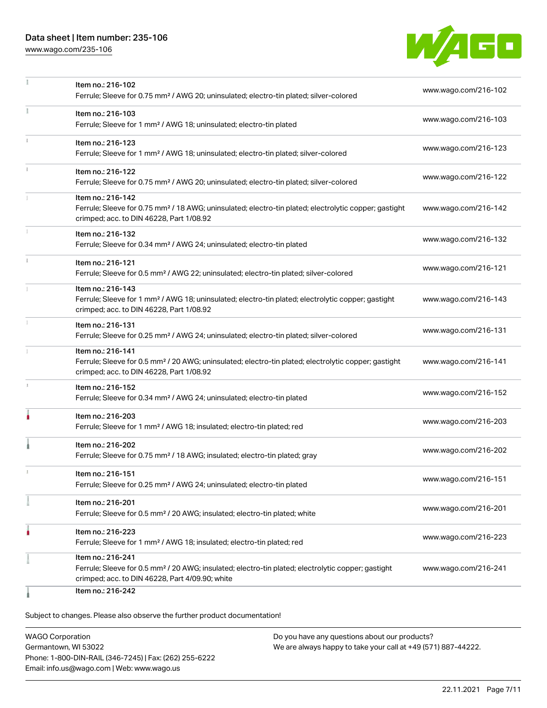# Data sheet | Item number: 235-106

[www.wago.com/235-106](http://www.wago.com/235-106)



|    | Item no.: 216-102                                                                                                                                             | www.wago.com/216-102 |
|----|---------------------------------------------------------------------------------------------------------------------------------------------------------------|----------------------|
|    | Ferrule; Sleeve for 0.75 mm <sup>2</sup> / AWG 20; uninsulated; electro-tin plated; silver-colored                                                            |                      |
| ž. | Item no.: 216-103                                                                                                                                             |                      |
|    | Ferrule; Sleeve for 1 mm <sup>2</sup> / AWG 18; uninsulated; electro-tin plated                                                                               | www.wago.com/216-103 |
|    | Item no.: 216-123                                                                                                                                             |                      |
|    | Ferrule; Sleeve for 1 mm <sup>2</sup> / AWG 18; uninsulated; electro-tin plated; silver-colored                                                               | www.wago.com/216-123 |
|    | Item no.: 216-122                                                                                                                                             | www.wago.com/216-122 |
|    | Ferrule; Sleeve for 0.75 mm <sup>2</sup> / AWG 20; uninsulated; electro-tin plated; silver-colored                                                            |                      |
|    | Item no.: 216-142                                                                                                                                             |                      |
|    | Ferrule; Sleeve for 0.75 mm <sup>2</sup> / 18 AWG; uninsulated; electro-tin plated; electrolytic copper; gastight<br>crimped; acc. to DIN 46228, Part 1/08.92 | www.wago.com/216-142 |
|    | Item no.: 216-132                                                                                                                                             |                      |
|    | Ferrule; Sleeve for 0.34 mm <sup>2</sup> / AWG 24; uninsulated; electro-tin plated                                                                            | www.wago.com/216-132 |
|    | Item no.: 216-121                                                                                                                                             |                      |
|    | Ferrule; Sleeve for 0.5 mm <sup>2</sup> / AWG 22; uninsulated; electro-tin plated; silver-colored                                                             | www.wago.com/216-121 |
|    | Item no.: 216-143                                                                                                                                             |                      |
|    | Ferrule; Sleeve for 1 mm <sup>2</sup> / AWG 18; uninsulated; electro-tin plated; electrolytic copper; gastight                                                | www.wago.com/216-143 |
|    | crimped; acc. to DIN 46228, Part 1/08.92                                                                                                                      |                      |
|    | Item no.: 216-131                                                                                                                                             | www.wago.com/216-131 |
|    | Ferrule; Sleeve for 0.25 mm <sup>2</sup> / AWG 24; uninsulated; electro-tin plated; silver-colored                                                            |                      |
|    | Item no.: 216-141                                                                                                                                             |                      |
|    | Ferrule; Sleeve for 0.5 mm <sup>2</sup> / 20 AWG; uninsulated; electro-tin plated; electrolytic copper; gastight<br>crimped; acc. to DIN 46228, Part 1/08.92  | www.wago.com/216-141 |
|    | Item no.: 216-152                                                                                                                                             |                      |
|    | Ferrule; Sleeve for 0.34 mm <sup>2</sup> / AWG 24; uninsulated; electro-tin plated                                                                            | www.wago.com/216-152 |
| ۸  | Item no.: 216-203                                                                                                                                             |                      |
|    | Ferrule; Sleeve for 1 mm <sup>2</sup> / AWG 18; insulated; electro-tin plated; red                                                                            | www.wago.com/216-203 |
|    | Item no.: 216-202                                                                                                                                             |                      |
|    | Ferrule; Sleeve for 0.75 mm <sup>2</sup> / 18 AWG; insulated; electro-tin plated; gray                                                                        | www.wago.com/216-202 |
|    | Item no.: 216-151                                                                                                                                             |                      |
|    | Ferrule; Sleeve for 0.25 mm <sup>2</sup> / AWG 24; uninsulated; electro-tin plated                                                                            | www.wago.com/216-151 |
|    | Item no.: 216-201                                                                                                                                             |                      |
|    | Ferrule; Sleeve for 0.5 mm <sup>2</sup> / 20 AWG; insulated; electro-tin plated; white                                                                        | www.wago.com/216-201 |
|    | Item no.: 216-223                                                                                                                                             |                      |
|    | Ferrule; Sleeve for 1 mm <sup>2</sup> / AWG 18; insulated; electro-tin plated; red                                                                            | www.wago.com/216-223 |
|    | Item no.: 216-241                                                                                                                                             |                      |
|    | Ferrule; Sleeve for 0.5 mm <sup>2</sup> / 20 AWG; insulated; electro-tin plated; electrolytic copper; gastight                                                | www.wago.com/216-241 |
|    | crimped; acc. to DIN 46228, Part 4/09.90; white                                                                                                               |                      |
|    | Item no.: 216-242                                                                                                                                             |                      |

Subject to changes. Please also observe the further product documentation!

WAGO Corporation Germantown, WI 53022 Phone: 1-800-DIN-RAIL (346-7245) | Fax: (262) 255-6222 Email: info.us@wago.com | Web: www.wago.us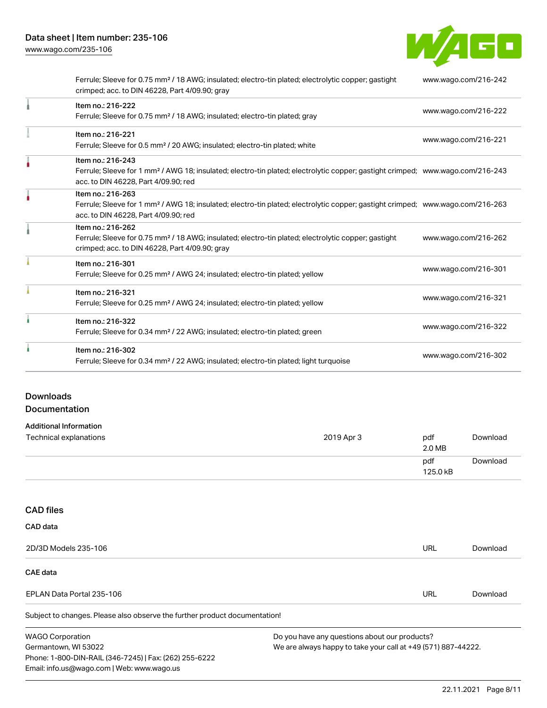

| Ferrule; Sleeve for 0.75 mm <sup>2</sup> / 18 AWG; insulated; electro-tin plated; electrolytic copper; gastight<br>crimped; acc. to DIN 46228, Part 4/09.90; gray                                       | www.wago.com/216-242 |
|---------------------------------------------------------------------------------------------------------------------------------------------------------------------------------------------------------|----------------------|
| Item no.: 216-222<br>Ferrule; Sleeve for 0.75 mm <sup>2</sup> / 18 AWG; insulated; electro-tin plated; gray                                                                                             | www.wago.com/216-222 |
| Item no.: 216-221<br>Ferrule; Sleeve for 0.5 mm <sup>2</sup> / 20 AWG; insulated; electro-tin plated; white                                                                                             | www.wago.com/216-221 |
| Item no.: 216-243<br>Ferrule; Sleeve for 1 mm <sup>2</sup> / AWG 18; insulated; electro-tin plated; electrolytic copper; gastight crimped; www.wago.com/216-243<br>acc. to DIN 46228, Part 4/09.90; red |                      |
| Item no.: 216-263<br>Ferrule; Sleeve for 1 mm <sup>2</sup> / AWG 18; insulated; electro-tin plated; electrolytic copper; gastight crimped; www.wago.com/216-263<br>acc. to DIN 46228, Part 4/09.90; red |                      |
| Item no.: 216-262<br>Ferrule; Sleeve for 0.75 mm <sup>2</sup> / 18 AWG; insulated; electro-tin plated; electrolytic copper; gastight<br>crimped; acc. to DIN 46228, Part 4/09.90; gray                  | www.wago.com/216-262 |
| Item no.: 216-301<br>Ferrule; Sleeve for 0.25 mm <sup>2</sup> / AWG 24; insulated; electro-tin plated; yellow                                                                                           | www.wago.com/216-301 |
| Item no.: 216-321<br>Ferrule; Sleeve for 0.25 mm <sup>2</sup> / AWG 24; insulated; electro-tin plated; yellow                                                                                           | www.wago.com/216-321 |
| Item no.: 216-322<br>Ferrule; Sleeve for 0.34 mm <sup>2</sup> / 22 AWG; insulated; electro-tin plated; green                                                                                            | www.wago.com/216-322 |
| Item no.: 216-302<br>Ferrule; Sleeve for 0.34 mm <sup>2</sup> / 22 AWG; insulated; electro-tin plated; light turquoise                                                                                  | www.wago.com/216-302 |

# Downloads Documentation

# Additional Information

| Technical explanations | 2019 Apr 3 | pdf<br>2.0 MB   | Download |
|------------------------|------------|-----------------|----------|
|                        |            | pdf<br>125.0 kB | Download |

# CAD files

| CAD data                                                                   |                                               |          |  |  |
|----------------------------------------------------------------------------|-----------------------------------------------|----------|--|--|
| 2D/3D Models 235-106                                                       | <b>URL</b>                                    | Download |  |  |
| <b>CAE data</b>                                                            |                                               |          |  |  |
| EPLAN Data Portal 235-106                                                  | URL                                           | Download |  |  |
| Subject to changes. Please also observe the further product documentation! |                                               |          |  |  |
| <b>WAGO Corporation</b>                                                    | Do you have any questions about our products? |          |  |  |

Germantown, WI 53022 Phone: 1-800-DIN-RAIL (346-7245) | Fax: (262) 255-6222 Email: info.us@wago.com | Web: www.wago.us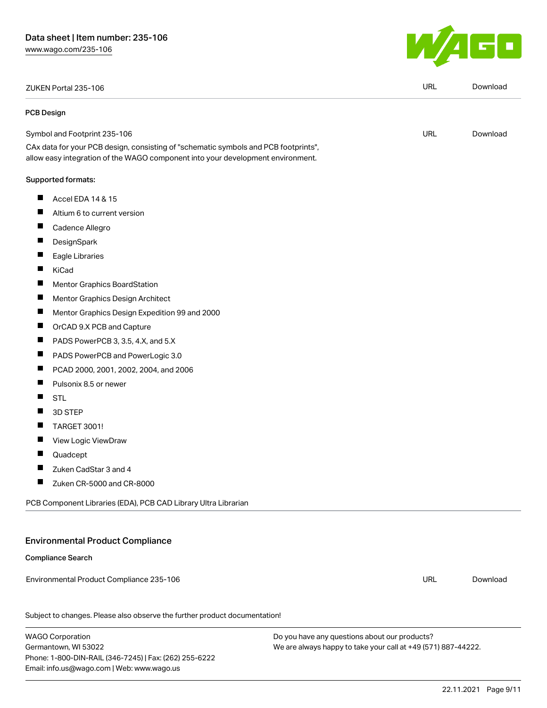ZUKEN Portal 235-106 URL [Download](https://www.wago.com/global/d/Zuken_URLS_235-106)

#### PCB Design

Symbol and Footprint 235-106 CAx data for your PCB design, consisting of "schematic symbols and PCB footprints", allow easy integration of the WAGO component into your development environment.

#### Supported formats:

- $\blacksquare$ Accel EDA 14 & 15
- $\blacksquare$ Altium 6 to current version
- $\blacksquare$ Cadence Allegro
- П **DesignSpark**
- $\blacksquare$ Eagle Libraries
- $\blacksquare$ KiCad
- $\blacksquare$ Mentor Graphics BoardStation
- $\blacksquare$ Mentor Graphics Design Architect
- $\blacksquare$ Mentor Graphics Design Expedition 99 and 2000
- $\blacksquare$ OrCAD 9.X PCB and Capture
- $\blacksquare$ PADS PowerPCB 3, 3.5, 4.X, and 5.X
- $\blacksquare$ PADS PowerPCB and PowerLogic 3.0
- $\blacksquare$ PCAD 2000, 2001, 2002, 2004, and 2006
- $\blacksquare$ Pulsonix 8.5 or newer
- $\blacksquare$ STL
- $\blacksquare$ 3D STEP
- $\blacksquare$ TARGET 3001!
- П View Logic ViewDraw
- П Quadcept
- $\blacksquare$ Zuken CadStar 3 and 4
- $\blacksquare$ Zuken CR-5000 and CR-8000

PCB Component Libraries (EDA), PCB CAD Library Ultra Librarian

# Environmental Product Compliance

### Compliance Search

Environmental Product Compliance 235-106

Subject to changes. Please also observe the further product documentation!

WAGO Corporation Germantown, WI 53022 Phone: 1-800-DIN-RAIL (346-7245) | Fax: (262) 255-6222 Email: info.us@wago.com | Web: www.wago.us

Do you have any questions about our products? We are always happy to take your call at +49 (571) 887-44222.



URL [Download](https://www.wago.com/global/d/UltraLibrarian_URLS_235-106)

URL [Download](https://www.wago.com/global/d/ComplianceLinkMediaContainer_235-106)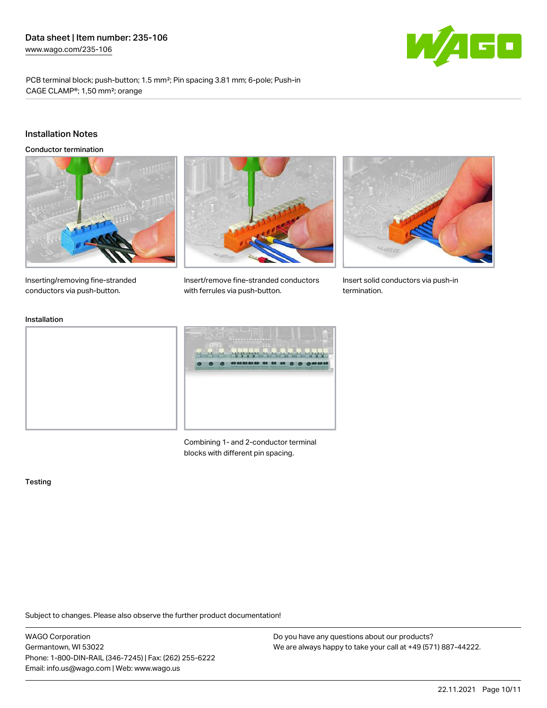

PCB terminal block; push-button; 1.5 mm²; Pin spacing 3.81 mm; 6-pole; Push-in CAGE CLAMP®; 1,50 mm²; orange

#### Installation Notes

Conductor termination





Insert/remove fine-stranded conductors



Insert solid conductors via push-in termination.

Inserting/removing fine-stranded conductors via push-button.

### Installation



with ferrules via push-button.

Combining 1- and 2-conductor terminal blocks with different pin spacing.

#### **Testing**

Subject to changes. Please also observe the further product documentation!

WAGO Corporation Germantown, WI 53022 Phone: 1-800-DIN-RAIL (346-7245) | Fax: (262) 255-6222 Email: info.us@wago.com | Web: www.wago.us